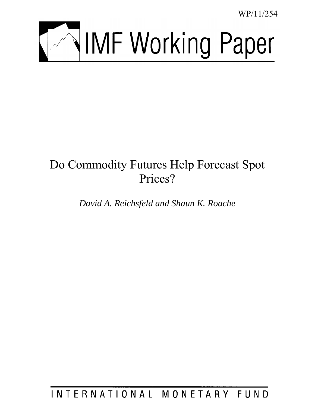WP/11/254



# Do Commodity Futures Help Forecast Spot Prices?

*David A. Reichsfeld and Shaun K. Roache* 

INTERNATIONAL MONETARY FUND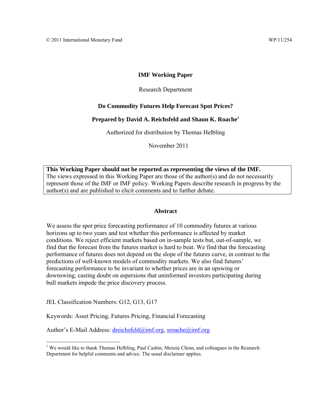# **IMF Working Paper**

# Research Department

# **Do Commodity Futures Help Forecast Spot Prices?**

# **Prepared by David A. Reichsfeld and Shaun K. Roache<sup>1</sup>**

Authorized for distribution by Thomas Helbling

November 2011

**This Working Paper should not be reported as representing the views of the IMF.** The views expressed in this Working Paper are those of the author(s) and do not necessarily represent those of the IMF or IMF policy. Working Papers describe research in progress by the author(s) and are published to elicit comments and to further debate.

# **Abstract**

We assess the spot price forecasting performance of 10 commodity futures at various horizons up to two years and test whether this performance is affected by market conditions. We reject efficient markets based on in-sample tests but, out-of-sample, we find that the forecast from the futures market is hard to beat. We find that the forecasting performance of futures does not depend on the slope of the futures curve, in contrast to the predictions of well-known models of commodity markets. We also find futures' forecasting performance to be invariant to whether prices are in an upswing or downswing, casting doubt on aspersions that uninformed investors participating during bull markets impede the price discovery process.

JEL Classification Numbers: G12, G13, G17

 $\overline{a}$ 

Keywords: Asset Pricing, Futures Pricing, Financial Forecasting

Author's E-Mail Address: [dreichsfeld@imf.org,](mailto:dreichsfeld@imf.org) [sroache@imf.org](mailto:sroache@imf.org)

<sup>&</sup>lt;sup>1</sup> We would like to thank Thomas Helbling, Paul Cashin, Menzie Chinn, and colleagues in the Research Department for helpful comments and advice. The usual disclaimer applies.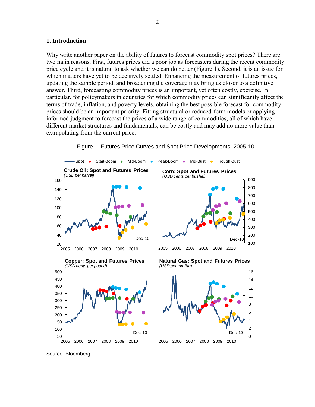# **1. Introduction**

Why write another paper on the ability of futures to forecast commodity spot prices? There are two main reasons. First, futures prices did a poor job as forecasters during the recent commodity price cycle and it is natural to ask whether we can do better (Figure 1). Second, it is an issue for which matters have yet to be decisively settled. Enhancing the measurement of futures prices, updating the sample period, and broadening the coverage may bring us closer to a definitive answer. Third, forecasting commodity prices is an important, yet often costly, exercise. In particular, for policymakers in countries for which commodity prices can significantly affect the terms of trade, inflation, and poverty levels, obtaining the best possible forecast for commodity prices should be an important priority. Fitting structural or reduced-form models or applying informed judgment to forecast the prices of a wide range of commodities, all of which have different market structures and fundamentals, can be costly and may add no more value than extrapolating from the current price.



Figure 1. Futures Price Curves and Spot Price Developments, 2005-10

Source: Bloomberg.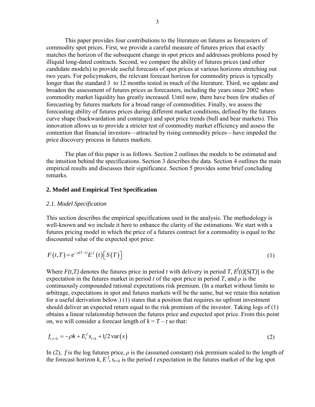This paper provides four contributions to the literature on futures as forecasters of commodity spot prices. First, we provide a careful measure of futures prices that exactly matches the horizon of the subsequent change in spot prices and addresses problems posed by illiquid long-dated contracts. Second, we compare the ability of futures prices (and other candidate models) to provide useful forecasts of spot prices at various horizons stretching out two years. For policymakers, the relevant forecast horizon for commodity prices is typically longer than the standard 3 to 12 months tested in much of the literature. Third, we update and broaden the assessment of futures prices as forecasters, including the years since 2002 when commodity market liquidity has greatly increased. Until now, there have been few studies of forecasting by futures markets for a broad range of commodities. Finally, we assess the forecasting ability of futures prices during different market conditions, defined by the futures curve shape (backwardation and contango) and spot price trends (bull and bear markets). This innovation allows us to provide a stricter test of commodity market efficiency and assess the contention that financial investors—attracted by rising commodity prices—have impeded the price discovery process in futures markets.

The plan of this paper is as follows. Section 2 outlines the models to be estimated and the intuition behind the specifications. Section 3 describes the data. Section 4 outlines the main empirical results and discusses their significance. Section 5 provides some brief concluding remarks.

# **2. Model and Empirical Test Specification**

# *2.1. Model Specification*

This section describes the empirical specifications used in the analysis. The methodology is well-known and we include it here to enhance the clarity of the estimations. We start with a futures pricing model in which the price of a futures contract for a commodity is equal to the discounted value of the expected spot price:

$$
F(t,T) = e^{-\rho(T-t)} E^{f}(t) \left[ S(T) \right]
$$
\n(1)

Where  $F(t,T)$  denotes the futures price in period *t* with delivery in period *T*,  $E^{f}(t)[S(T)]$  is the expectation in the futures market in period *t* of the spot price in period *T*, and  $\rho$  is the continuously compounded rational expectations risk premium. (In a market without limits to arbitrage, expectations in spot and futures markets will be the same, but we retain this notation for a useful derivation below.) (1) states that a position that requires no upfront investment should deliver an expected return equal to the risk premium of the investor. Taking logs of (1) obtains a linear relationship between the futures price and expected spot price. From this point on, we will consider a forecast length of  $k = T - t$  so that:

$$
f_{t,t+k} = -\rho k + E_t^f s_{t+k} + 1/2 \operatorname{var}(s)
$$
\n(2)

In (2), *f* is the log futures price,  $\rho$  is the (assumed constant) risk premium scaled to the length of the forecast horizon *k*,  $E^f$ <sub>t</sub> $s$ <sub>*t*+*k*</sub> is the period *t* expectation in the futures market of the log spot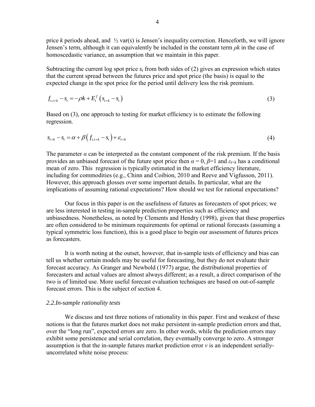price *k* periods ahead, and ½ var(*s*) is Jensen's inequality correction. Henceforth, we will ignore Jensen's term, although it can equivalently be included in the constant term *ρk* in the case of homoscedastic variance, an assumption that we maintain in this paper.

Subtracting the current log spot price  $s_t$  from both sides of (2) gives an expression which states that the current spread between the futures price and spot price (the basis) is equal to the expected change in the spot price for the period until delivery less the risk premium.

$$
f_{t,t+k} - s_t = -\rho k + E_t^f \left( s_{t+k} - s_t \right) \tag{3}
$$

Based on (3), one approach to testing for market efficiency is to estimate the following regression.

$$
s_{t+k} - s_t = \alpha + \beta \left( f_{t,t+k} - s_t \right) + \varepsilon_{t+k}
$$
\n
$$
\tag{4}
$$

The parameter  $\alpha$  can be interpreted as the constant component of the risk premium. If the basis provides an unbiased forecast of the future spot price then  $\alpha = 0$ ,  $\beta = 1$  and  $\varepsilon$ <sub>*t*+*k*</sub> has a conditional mean of zero. This regression is typically estimated in the market efficiency literature, including for commodities (e.g., Chinn and Coibion, 2010 and Reeve and Vigfusson, 2011). However, this approach glosses over some important details. In particular, what are the implications of assuming rational expectations? How should we test for rational expectations?

Our focus in this paper is on the usefulness of futures as forecasters of spot prices; we are less interested in testing in-sample prediction properties such as efficiency and unbiasedness. Nonetheless, as noted by Clements and Hendry (1998), given that these properties are often considered to be minimum requirements for optimal or rational forecasts (assuming a typical symmetric loss function), this is a good place to begin our assessment of futures prices as forecasters.

It is worth noting at the outset, however, that in-sample tests of efficiency and bias can tell us whether certain models may be useful for forecasting, but they do not evaluate their forecast accuracy. As Granger and Newbold (1977) argue, the distributional properties of forecasters and actual values are almost always different; as a result, a direct comparison of the two is of limited use. More useful forecast evaluation techniques are based on out-of-sample forecast errors. This is the subject of section 4.

## *2.2.In-sample rationality tests*

We discuss and test three notions of rationality in this paper. First and weakest of these notions is that the futures market does not make persistent in-sample prediction errors and that, over the "long run", expected errors are zero. In other words, while the prediction errors may exhibit some persistence and serial correlation, they eventually converge to zero. A stronger assumption is that the in-sample futures market prediction error *ν* is an independent seriallyuncorrelated white noise process: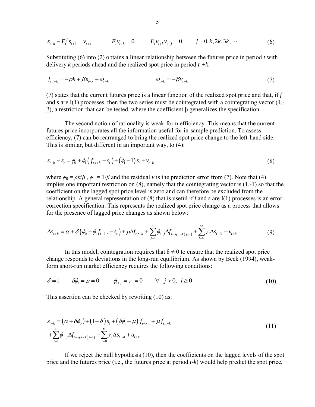$$
s_{t+k} - E_t^f s_{t+k} = v_{t+k} \qquad E_t v_{t+k} = 0 \qquad E_t v_{t+k} v_{t-j} = 0 \qquad j = 0, k, 2k, 3k, \cdots \tag{6}
$$

Substituting (6) into (2) obtains a linear relationship between the futures price in period *t* with delivery *k* periods ahead and the realized spot price in period *t +k*.

$$
f_{t,t+k} = -\rho k + \beta s_{t+k} + \omega_{t+k} \qquad \qquad \omega_{t+k} = -\beta v_{t+k} \qquad (7)
$$

(7) states that the current futures price is a linear function of the realized spot price and that, if *f* and *s* are I(1) processes, then the two series must be cointegrated with a cointegrating vector (1, β), a restriction that can be tested, where the coefficient β generalizes the specification.

The second notion of rationality is weak-form efficiency. This means that the current futures price incorporates all the information useful for in-sample prediction. To assess efficiency, (7) can be rearranged to bring the realized spot price change to the left-hand side.

This is similar, but different in an important way, to (4):  
\n
$$
s_{t+k} - s_t = \phi_0 + \phi_1 \left( f_{t,t+k} - s_t \right) + \left( \phi_1 - 1 \right) s_t + v_{t+k}
$$
\n(8)

where  $\phi_0 = \rho k/\beta$ ,  $\phi_1 = 1/\beta$  and the residual *v* is the prediction error from (7). Note that (4) implies one important restriction on (8), namely that the cointegrating vector is (1,-1) so that the coefficient on the lagged spot price level is zero and can therefore be excluded from the relationship. A general representation of (8) that is useful if *f* and *s* are I(1) processes is an error-<br>correction specification. This represents the realized spot price change as a process that allows<br>for the presenc correction specification. This represents the realized spot price change as a process that allows

for the presence of lagged price changes as shown below:  
\n
$$
\Delta s_{t+k} = \alpha + \delta \left( \phi_0 + \phi_1 f_{t-k,t} - s_t \right) + \mu \Delta f_{t,t+k} + \sum_{j=1}^K \phi_{1+j} \Delta f_{t-k,j,t-k(j-1)} + \sum_{l=0}^M \gamma_l \Delta s_{t-lk} + v_{t+k}
$$
\n(9)

In this model, cointegration requires that  $\delta \neq 0$  to ensure that the realized spot price change responds to deviations in the long-run equilibrium. As shown by Beck (1994), weakform short-run market efficiency requires the following conditions:

$$
\delta = 1 \qquad \delta \phi_i = \mu \neq 0 \qquad \phi_{i+j} = \gamma_i = 0 \qquad \forall \ j > 0, \ l \geq 0 \tag{10}
$$

This assertion can be checked by rewriting (10) as:

$$
s_{t+k} = (\alpha + \delta \phi_0) + (1 - \delta) s_t + (\delta \phi_1 - \mu) f_{t-k,t} + \mu f_{t,t+k}
$$
  
+ 
$$
\sum_{j=1}^K \phi_{1+j} \Delta f_{t-kj,t-k(j-1)} + \sum_{l=0}^M \gamma_l \Delta s_{t-kl} + u_{t+k}
$$
 (11)

If we reject the null hypothesis (10), then the coefficients on the lagged levels of the spot price and the futures price (i.e., the futures price at period *t-k*) would help predict the spot price,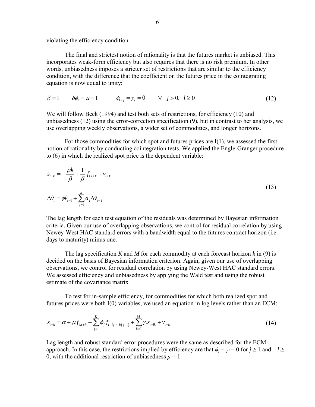violating the efficiency condition.

The final and strictest notion of rationality is that the futures market is unbiased. This incorporates weak-form efficiency but also requires that there is no risk premium. In other words, unbiasedness imposes a stricter set of restrictions that are similar to the efficiency condition, with the difference that the coefficient on the futures price in the cointegrating equation is now equal to unity:

$$
\delta = 1 \qquad \delta \phi_i = \mu = 1 \qquad \phi_{i+j} = \gamma_i = 0 \qquad \forall \ j > 0, \ l \ge 0 \tag{12}
$$

We will follow Beck (1994) and test both sets of restrictions, for efficiency (10) and unbiasedness (12) using the error-correction specification (9), but in contrast to her analysis, we use overlapping weekly observations, a wider set of commodities, and longer horizons.

For those commodities for which spot and futures prices are I(1), we assessed the first notion of rationality by conducting cointegration tests. We applied the Engle-Granger procedure to (6) in which the realized spot price is the dependent variable:

$$
s_{t+k} = -\frac{\rho k}{\beta} + \frac{1}{\beta} f_{t,t+k} + v_{t+k}
$$
  

$$
\Delta \hat{v}_t = \phi \hat{v}_{t-1} + \sum_{j=1}^k a_j \Delta \hat{v}_{t-j}
$$
 (13)

The lag length for each test equation of the residuals was determined by Bayesian information criteria. Given our use of overlapping observations, we control for residual correlation by using Newey-West HAC standard errors with a bandwidth equal to the futures contract horizon (i.e. days to maturity) minus one.

The lag specification *K* and *M* for each commodity at each forecast horizon *k* in (9) is decided on the basis of Bayesian information criterion. Again, given our use of overlapping observations, we control for residual correlation by using Newey-West HAC standard errors. We assessed efficiency and unbiasedness by applying the Wald test and using the robust estimate of the covariance matrix

To test for in-sample efficiency, for commodities for which both realized spot and

futures prices were both I(0) variables, we used an equation in log levels rather than an ECM:  
\n
$$
s_{t+k} = \alpha + \mu f_{t,t+k} + \sum_{j=1}^{K} \phi_j f_{t-kj,t-k(j-1)} + \sum_{l=0}^{M} \gamma_l s_{t-lk} + v_{t+k}
$$
\n(14)

Lag length and robust standard error procedures were the same as described for the ECM approach. In this case, the restrictions implied by efficiency are that  $\phi_i = \gamma_l = 0$  for  $j \ge 1$  and  $l \ge$ 0, with the additional restriction of unbiasedness  $\mu = 1$ .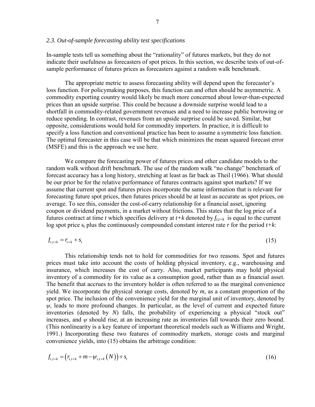In-sample tests tell us something about the "rationality" of futures markets, but they do not indicate their usefulness as forecasters of spot prices. In this section, we describe tests of out-ofsample performance of futures prices as forecasters against a random walk benchmark.

 The appropriate metric to assess forecasting ability will depend upon the forecaster's loss function. For policymaking purposes, this function can and often should be asymmetric. A commodity exporting country would likely be much more concerned about lower-than-expected prices than an upside surprise. This could be because a downside surprise would lead to a shortfall in commodity-related government revenues and a need to increase public borrowing or reduce spending. In contrast, revenues from an upside surprise could be saved. Similar, but opposite, considerations would hold for commodity importers. In practice, it is difficult to specify a loss function and conventional practice has been to assume a symmetric loss function. The optimal forecaster in this case will be that which minimizes the mean squared forecast error (MSFE) and this is the approach we use here.

 We compare the forecasting power of futures prices and other candidate models to the random walk without drift benchmark. The use of the random walk "no change" benchmark of forecast accuracy has a long history, stretching at least as far back as Theil (1966). What should be our prior be for the relative performance of futures contracts against spot markets? If we assume that current spot and futures prices incorporate the same information that is relevant for forecasting future spot prices, then futures prices should be at least as accurate as spot prices, on average. To see this, consider the cost-of-carry relationship for a financial asset, ignoring coupon or dividend payments, in a market without frictions. This states that the log price of a futures contract at time *t* which specifies delivery at  $t+k$  denoted by  $f_{t,t+k}$  is equal to the current log spot price  $s_t$  plus the continuously compounded constant interest rate  $r$  for the period  $t+k$ :

$$
f_{t,t+k} = r_{t+k} + s_t \tag{15}
$$

This relationship tends not to hold for commodities for two reasons. Spot and futures prices must take into account the costs of holding physical inventory, e.g., warehousing and insurance, which increases the cost of carry. Also, market participants may hold physical inventory of a commodity for its value as a consumption good, rather than as a financial asset. The benefit that accrues to the inventory holder is often referred to as the marginal convenience yield. We incorporate the physical storage costs, denoted by *m,* as a constant proportion of the spot price. The inclusion of the convenience yield for the marginal unit of inventory, denoted by  $\psi$ , leads to more profound changes. In particular, as the level of current and expected future inventories (denoted by *N*) falls, the probability of experiencing a physical "stock out" increases, and  $\psi$  should rise, at an increasing rate as inventories fall towards their zero bound. (This nonlinearity is a key feature of important theoretical models such as Williams and Wright, 1991.) Incorporating these two features of commodity markets, storage costs and marginal convenience yields, into (15) obtains the arbitrage condition:

$$
f_{t,t+k} = (r_{t,t+k} + m - \psi_{t,t+k}(N)) + s_t
$$
\n(16)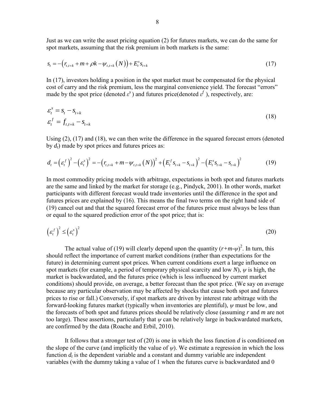Just as we can write the asset pricing equation (2) for futures markets, we can do the same for

spot markets, assuming that the risk premium in both markets is the same:  
\n
$$
s_t = -(r_{t,t+k} + m + \rho k - \psi_{t,t+k}(N)) + E_t^s s_{t+k}
$$
\n(17)

In (17), investors holding a position in the spot market must be compensated for the physical cost of carry and the risk premium, less the marginal convenience yield. The forecast "errors" made by the spot price (denoted  $\varepsilon^s$ ) and futures price(denoted  $\varepsilon^f$ ), respectively, are:

$$
\varepsilon_t^s = s_t - s_{t+k}
$$
  
\n
$$
\varepsilon_t^f = f_{t,t+k} - s_{t+k}
$$
\n(18)

Using (2), (17) and (18), we can then write the difference in the squared forecast errors (denoted by  $d_t$ ) made by spot prices and futures prices as: *t*<sub>*t*</sub>  $t = J_{t,t+k} - S_{t+k}$ <br>
Using (2), (17) and (18), we can then write the difference in the squared forecast errors (denoted<br>
by spot prices and futures prices as:<br>  $d_t = ( {\varepsilon_t}^f )^2 - ( {\varepsilon_t}^s )^2 = - (r_{t,t+k} + m - \psi_{t,t+k} (N))^2 + (E$ 

$$
d_{t} = (\varepsilon_{t}^{f})^{2} - (\varepsilon_{t}^{s})^{2} = -(\mathbf{r}_{t,t+k} + m - \psi_{t,t+k}(N))^{2} + (\mathbf{E}_{t}^{f} \mathbf{s}_{t+k} - \mathbf{s}_{t+k})^{2} - (\mathbf{E}_{t}^{s} \mathbf{s}_{t+k} - \mathbf{s}_{t+k})^{2}
$$
(19)

In most commodity pricing models with arbitrage, expectations in both spot and futures markets are the same and linked by the market for storage (e.g., Pindyck, 2001). In other words, market participants with different forecast would trade inventories until the difference in the spot and futures prices are explained by (16). This means the final two terms on the right hand side of (19) cancel out and that the squared forecast error of the futures price must always be less than or equal to the squared prediction error of the spot price; that is:

$$
\left(\varepsilon_t^f\right)^2 \leq \left(\varepsilon_t^s\right)^2\tag{20}
$$

The actual value of (19) will clearly depend upon the quantity  $(r+m-\psi)^2$ . In turn, this should reflect the importance of current market conditions (rather than expectations for the future) in determining current spot prices. When current conditions exert a large influence on spot markets (for example, a period of temporary physical scarcity and low *N*),  $\psi$  is high, the market is backwardated, and the futures price (which is less influenced by current market conditions) should provide, on average, a better forecast than the spot price. (We say on average because any particular observation may be affected by shocks that cause both spot and futures prices to rise or fall.) Conversely, if spot markets are driven by interest rate arbitrage with the forward-looking futures market (typically when inventories are plentiful), *ψ* must be low, and the forecasts of both spot and futures prices should be relatively close (assuming *r* and *m* are not too large). These assertions, particularly that  $\psi$  can be relatively large in backwardated markets, are confirmed by the data (Roache and Erbil, 2010).

It follows that a stronger test of (20) is one in which the loss function *d* is conditioned on the slope of the curve (and implicitly the value of  $\psi$ ). We estimate a regression in which the loss function  $d_t$  is the dependent variable and a constant and dummy variable are independent variables (with the dummy taking a value of 1 when the futures curve is backwardated and 0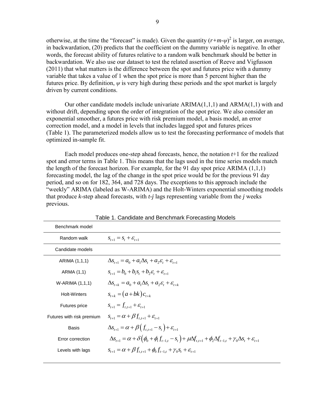otherwise, at the time the "forecast" is made). Given the quantity  $(r+m-\psi)^2$  is larger, on average, in backwardation, (20) predicts that the coefficient on the dummy variable is negative. In other words, the forecast ability of futures relative to a random walk benchmark should be better in backwardation. We also use our dataset to test the related assertion of Reeve and Vigfusson (2011) that what matters is the difference between the spot and futures price with a dummy variable that takes a value of 1 when the spot price is more than 5 percent higher than the futures price. By definition, *ψ* is very high during these periods and the spot market is largely driven by current conditions.

Our other candidate models include univariate  $ARIMA(1,1,1)$  and  $ARMA(1,1)$  with and without drift, depending upon the order of integration of the spot price. We also consider an exponential smoother, a futures price with risk premium model, a basis model, an error correction model, and a model in levels that includes lagged spot and futures prices (Table 1). The parameterized models allow us to test the forecasting performance of models that optimized in-sample fit.

Each model produces one-step ahead forecasts, hence, the notation *t*+1 for the realized spot and error terms in Table 1. This means that the lags used in the time series models match the length of the forecast horizon. For example, for the 91 day spot price ARIMA (1,1,1) forecasting model, the lag of the change in the spot price would be for the previous 91 day period, and so on for 182, 364, and 728 days. The exceptions to this approach include the "weekly" ARIMA (labeled as W-ARIMA) and the Holt-Winters exponential smoothing models that produce *k*-step ahead forecasts, with *t-j* lags representing variable from the *j* weeks previous.

| Benchmark model           |                                                                                                                                                                              |
|---------------------------|------------------------------------------------------------------------------------------------------------------------------------------------------------------------------|
| Random walk               | $S_{t+1} = S_t + \mathcal{E}_{t+1}$                                                                                                                                          |
| Candidate models          |                                                                                                                                                                              |
| ARIMA (1,1,1)             | $\Delta s_{t+1} = a_0 + a_1 \Delta s_t + a_2 \varepsilon_t + \varepsilon_{t+1}$                                                                                              |
| ARMA (1,1)                | $S_{t+1} = b_0 + b_1 S_t + b_2 \mathcal{E}_t + \mathcal{E}_{t+1}$                                                                                                            |
| W-ARIMA (1,1,1)           | $\Delta s_{t+k} = a_0 + a_1 \Delta s_t + a_2 \varepsilon_t + \varepsilon_{t+k}$                                                                                              |
| <b>Holt-Winters</b>       | $s_{t+k} = (a+bk)c_{t+k}$                                                                                                                                                    |
| <b>Futures price</b>      | $S_{t+1} = f_{t+1} + \mathcal{E}_{t+1}$                                                                                                                                      |
| Futures with risk premium | $S_{t+1} = \alpha + \beta f_{t} + \varepsilon_{t+1}$                                                                                                                         |
| <b>Basis</b>              | $\Delta s_{t+1} = \alpha + \beta \left( f_{t} - s_t \right) + \varepsilon_{t+1}$                                                                                             |
| Error correction          | $\Delta s_{t+1} = \alpha + \delta \left( \phi_0 + \phi_1 f_{t-1,t} - s_t \right) + \mu \Delta f_{t,t+1} + \phi_2 \Delta f_{t-1,t} + \gamma_0 \Delta s_t + \varepsilon_{t+1}$ |
| Levels with lags          | $S_{t+1} = \alpha + \beta f_{t+1} + \phi_0 f_{t-1,t} + \gamma_0 S_t + \varepsilon_{t+1}$                                                                                     |

Table 1. Candidate and Benchmark Forecasting Models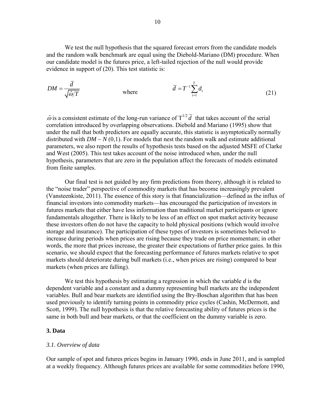We test the null hypothesis that the squared forecast errors from the candidate models and the random walk benchmark are equal using the Diebold-Mariano (DM) procedure. When our candidate model is the futures price, a left-tailed rejection of the null would provide evidence in support of (20). This test statistic is:

$$
DM = \frac{d}{\sqrt{\hat{\omega}/T}}
$$
 where  $\overline{d} = T^{-1} \sum_{t=1}^{T} d_t$  (21)

 $\hat{\omega}$  is a consistent estimate of the long-run variance of  $T^{1/2} \bar{d}$  that takes account of the serial correlation introduced by overlapping observations. Diebold and Mariano (1995) show that under the null that both predictors are equally accurate, this statistic is asymptotically normally distributed with  $DM \sim N(0,1)$ . For models that nest the random walk and estimate additional parameters, we also report the results of hypothesis tests based on the adjusted MSFE of Clarke and West (2005). This test takes account of the noise introduced when, under the null hypothesis, parameters that are zero in the population affect the forecasts of models estimated from finite samples.

 Our final test is not guided by any firm predictions from theory, although it is related to the "noise trader" perspective of commodity markets that has become increasingly prevalent (Vansteenkiste, 2011). The essence of this story is that financialization—defined as the influx of financial investors into commodity markets—has encouraged the participation of investors in futures markets that either have less information than traditional market participants or ignore fundamentals altogether. There is likely to be less of an effect on spot market activity because these investors often do not have the capacity to hold physical positions (which would involve storage and insurance). The participation of these types of investors is sometimes believed to increase during periods when prices are rising because they trade on price momentum; in other words, the more that prices increase, the greater their expectations of further price gains. In this scenario, we should expect that the forecasting performance of futures markets relative to spot markets should deteriorate during bull markets (i.e., when prices are rising) compared to bear markets (when prices are falling).

We test this hypothesis by estimating a regression in which the variable *d* is the dependent variable and a constant and a dummy representing bull markets are the independent variables. Bull and bear markets are identified using the Bry-Boschan algorithm that has been used previously to identify turning points in commodity price cycles (Cashin, McDermott, and Scott, 1999). The null hypothesis is that the relative forecasting ability of futures prices is the same in both bull and bear markets, or that the coefficient on the dummy variable is zero.

# **3. Data**

# *3.1. Overview of data*

Our sample of spot and futures prices begins in January 1990, ends in June 2011, and is sampled at a weekly frequency. Although futures prices are available for some commodities before 1990,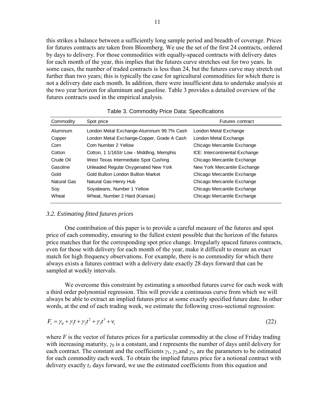this strikes a balance between a sufficiently long sample period and breadth of coverage. Prices for futures contracts are taken from Bloomberg. We use the set of the first 24 contracts, ordered by days to delivery. For those commodities with equally-spaced contracts with delivery dates for each month of the year, this implies that the futures curve stretches out for two years. In some cases, the number of traded contracts is less than 24, but the futures curve may stretch out further than two years; this is typically the case for agricultural commodities for which there is not a delivery date each month. In addition, there were insufficient data to undertake analysis at the two year horizon for aluminum and gasoline. Table 3 provides a detailed overview of the futures contracts used in the empirical analysis.

| Commodity   | Spot price                                 | <b>Futures contract</b>        |
|-------------|--------------------------------------------|--------------------------------|
| Aluminum    | London Metal Exchange-Aluminum 99.7% Cash  | London Metal Exchange          |
| Copper      | London Metal Exchange-Copper, Grade A Cash | London Metal Exchange          |
| Corn        | Corn Number 2 Yellow                       | Chicago Mercantile Exchange    |
| Cotton      | Cotton, 1 1/16Str Low - Middling, Memphis  | ICE: Intercontinental Exchange |
| Crude Oil   | West Texas Intermediate Spot Cushing       | Chicago Mercantile Exchange    |
| Gasoline    | Unleaded Regular Oxygenated New York       | New York Mercantile Exchange   |
| Gold        | Gold Bullion London Bullion Market         | Chicago Mercantile Exchange    |
| Natural Gas | Natural Gas-Henry Hub                      | Chicago Mercantile Exchange    |
| Soy         | Soyabeans, Number 1 Yellow                 | Chicago Mercantile Exchange    |
| Wheat       | Wheat, Number 2 Hard (Kansas)              | Chicago Mercantile Exchange    |

Table 3. Commodity Price Data: Specifications

#### *3.2. Estimating fitted futures prices*

One contribution of this paper is to provide a careful measure of the futures and spot price of each commodity, ensuring to the fullest extent possible that the horizon of the futures price matches that for the corresponding spot price change. Irregularly spaced futures contracts, even for those with delivery for each month of the year, make it difficult to ensure an exact match for high frequency observations. For example, there is no commodity for which there always exists a futures contract with a delivery date exactly 28 days forward that can be sampled at weekly intervals.

We overcome this constraint by estimating a smoothed futures curve for each week with a third order polynomial regression. This will provide a continuous curve from which we will always be able to extract an implied futures price at some exactly specified future date. In other words, at the end of each trading week, we estimate the following cross-sectional regression:

$$
F_t = \gamma_0 + \gamma_1 t + \gamma_2 t^2 + \gamma_3 t^3 + \nu_t
$$
\n(22)

where  $F$  is the vector of futures prices for a particular commodity at the close of Friday trading with increasing maturity,  $\gamma_0$  is a constant, and *t* represents the number of days until delivery for each contract. The constant and the coefficients *γ*1, *γ*2,and *γ*3, are the parameters to be estimated for each commodity each week. To obtain the implied futures price for a notional contract with delivery exactly *t<sup>1</sup>* days forward, we use the estimated coefficients from this equation and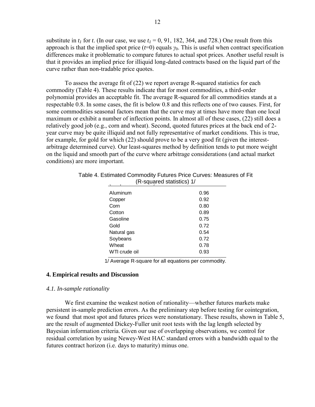substitute in  $t_1$  for  $t$ . (In our case, we use  $t_1 = 0$ , 91, 182, 364, and 728.) One result from this approach is that the implied spot price  $(t=0)$  equals  $\gamma_0$ . This is useful when contract specification differences make it problematic to compare futures to actual spot prices. Another useful result is that it provides an implied price for illiquid long-dated contracts based on the liquid part of the curve rather than non-tradable price quotes.

To assess the average fit of (22) we report average R-squared statistics for each commodity (Table 4). These results indicate that for most commodities, a third-order polynomial provides an acceptable fit. The average R-squared for all commodities stands at a respectable 0.8. In some cases, the fit is below 0.8 and this reflects one of two causes. First, for some commodities seasonal factors mean that the curve may at times have more than one local maximum or exhibit a number of inflection points. In almost all of these cases, (22) still does a relatively good job (e.g., corn and wheat). Second, quoted futures prices at the back end of 2 year curve may be quite illiquid and not fully representative of market conditions. This is true, for example, for gold for which (22) should prove to be a very good fit (given the interestarbitrage determined curve). Our least-squares method by definition tends to put more weight on the liquid and smooth part of the curve where arbitrage considerations (and actual market conditions) are more important.

|               | (R-squared statistics) 1/ |  |  |  |  |  |  |  |
|---------------|---------------------------|--|--|--|--|--|--|--|
| Aluminum      | 0.96                      |  |  |  |  |  |  |  |
| Copper        | 0.92                      |  |  |  |  |  |  |  |
| Corn          | 0.80                      |  |  |  |  |  |  |  |
| Cotton        | 0.89                      |  |  |  |  |  |  |  |
| Gasoline      | 0.75                      |  |  |  |  |  |  |  |
| Gold          | 0.72                      |  |  |  |  |  |  |  |
| Natural gas   | 0.54                      |  |  |  |  |  |  |  |
| Soybeans      | 0.72                      |  |  |  |  |  |  |  |
| Wheat         | 0.78                      |  |  |  |  |  |  |  |
| WTI crude oil | 0.93                      |  |  |  |  |  |  |  |

Table 4. Estimated Commodity Futures Price Curves: Measures of Fit **Curves: Measures of Fit**

1/ Average R-square for all equations per commodity.

#### **4. Empirical results and Discussion**

#### *4.1. In-sample rationality*

We first examine the weakest notion of rationality—whether futures markets make persistent in-sample prediction errors. As the preliminary step before testing for cointegration, we found that most spot and futures prices were nonstationary. These results, shown in Table 5, are the result of augmented Dickey-Fuller unit root tests with the lag length selected by Bayesian information criteria. Given our use of overlapping observations, we control for residual correlation by using Newey-West HAC standard errors with a bandwidth equal to the futures contract horizon (i.e. days to maturity) minus one.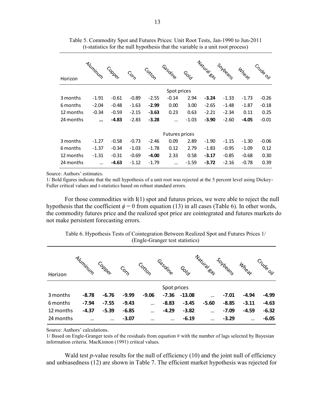|           |          |         |                                                                                            |         |                |             | Natural Sas |          |         |           |
|-----------|----------|---------|--------------------------------------------------------------------------------------------|---------|----------------|-------------|-------------|----------|---------|-----------|
| Horizon   | Aluminum | Copper  | $C_{\!\!\mathcal{O}_{\!\!\mathop{\mathsf{F}}\nolimits_{\!\!\mathop{\mathsf{G}}\nolimits}}$ | Cotton  | Casoline       | <b>SOLD</b> |             | Soybeans | Wheat   | Crude oil |
|           |          |         |                                                                                            |         | Spot prices    |             |             |          |         |           |
| 3 months  | $-1.91$  | $-0.61$ | $-0.89$                                                                                    | $-2.55$ | $-0.14$        | 2.94        | $-3.24$     | $-1.33$  | $-1.73$ | $-0.26$   |
| 6 months  | $-2.04$  | $-0.48$ | $-1.63$                                                                                    | $-2.99$ | 0.00           | 3.00        | $-2.65$     | $-1.48$  | $-1.87$ | $-0.18$   |
| 12 months | $-0.34$  | $-0.59$ | $-2.15$                                                                                    | $-3.63$ | 0.23           | 0.63        | $-2.21$     | $-2.34$  | 0.11    | 0.25      |
| 24 months |          | $-4.83$ | $-2.83$                                                                                    | $-3.28$ | $\cdots$       | $-1.03$     | $-3.90$     | $-2.60$  | $-4.05$ | $-0.01$   |
|           |          |         |                                                                                            |         | Futures prices |             |             |          |         |           |
| 3 months  | $-1.27$  | $-0.58$ | $-0.73$                                                                                    | $-2.46$ | 0.09           | 2.89        | $-1.90$     | $-1.15$  | $-1.30$ | $-0.06$   |
| 6 months  | $-1.37$  | $-0.34$ | $-1.03$                                                                                    | $-1.78$ | 0.12           | 2.79        | $-1.83$     | $-0.95$  | $-1.09$ | 0.12      |
| 12 months | $-1.31$  | $-0.31$ | $-0.69$                                                                                    | $-4.00$ | 2.33           | 0.58        | $-3.17$     | $-0.85$  | $-0.68$ | 0.30      |
| 24 months |          | $-4.63$ | $-1.12$                                                                                    | $-1.79$ | $\cdots$       | $-1.59$     | $-3.72$     | $-2.16$  | $-0.78$ | 0.39      |
|           |          |         |                                                                                            |         |                |             |             |          |         |           |

Table 5. Commodity Spot and Futures Prices: Unit Root Tests, Jan-1990 to Jun-2011 (t-statistics for the null hypothesis that the variable is a unit root process)

Source: Authors' estimates.

1/ Bold figures indicate that the null hypothesis of a unit root was rejected at the 5 percent level using Dickey-Fuller critical values and t-statistics based on robust standard errors.

For those commodities with I(1) spot and futures prices, we were able to reject the null hypothesis that the coefficient  $\phi = 0$  from equation (13) in all cases (Table 6). In other words, the commodity futures price and the realized spot price are cointegrated and futures markets do not make persistent forecasting errors.

|           |          |          |             |          |             |                   | Natural <sub>Sas</sub> |          |          |           |
|-----------|----------|----------|-------------|----------|-------------|-------------------|------------------------|----------|----------|-----------|
| Horizon   | Aluminum | Copper   | <b>CONS</b> | Cotton   | Gasoline    | <sup>GOI</sup> CY |                        | Soybeans | Wheat    | Crude oil |
|           |          |          |             |          | Spot prices |                   |                        |          |          |           |
| 3 months  | $-8.78$  | $-6.76$  | $-9.99$     | $-9.06$  | $-7.36$     | $-13.08$          | $\cdots$               | $-7.01$  | $-4.94$  | $-4.99$   |
| 6 months  | $-7.94$  | $-7.55$  | $-9.43$     | $\cdots$ | $-8.83$     | $-3.45$           | $-5.60$                | $-8.85$  | $-3.11$  | $-4.63$   |
| 12 months | $-4.37$  | $-5.39$  | $-6.85$     | $\cdots$ | $-4.29$     | $-3.82$           | $\cdots$               | $-7.09$  | $-4.59$  | $-6.32$   |
| 24 months | $\cdots$ | $\cdots$ | $-3.07$     | $\cdots$ | $\cdots$    | $-6.19$           | $\cdots$               | $-3.29$  | $\cdots$ | $-6.05$   |

Table 6. Hypothesis Tests of Cointegration Between Realized Spot and Futures Prices 1/ (Engle-Granger test statistics)

Source: Authors' calculations.

1/ Based on Engle-Granger tests of the residuals from equation # with the number of lags selected by Bayesian information criteria. MacKinnon (1991) critical values.

Wald test *p*-value results for the null of efficiency (10) and the joint null of efficiency and unbiasedness (12) are shown in Table 7. The efficient market hypothesis was rejected for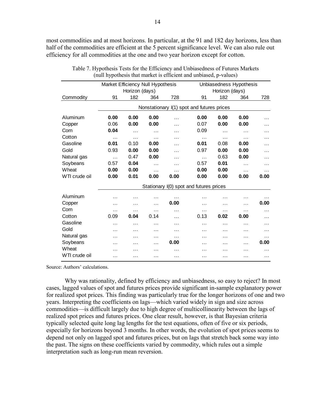most commodities and at most horizons. In particular, at the 91 and 182 day horizons, less than half of the commodities are efficient at the 5 percent significance level. We can also rule out efficiency for all commodities at the one and two year horizon except for cotton.

| Table 7. Hypothesis Tests for the Efficiency and Unbiasedness of Futures Markets | (null hypothesis that market is efficient and unbiased, p-values) |                |           |          |                                            |                |                         |          |
|----------------------------------------------------------------------------------|-------------------------------------------------------------------|----------------|-----------|----------|--------------------------------------------|----------------|-------------------------|----------|
|                                                                                  | Market Efficiency Null Hypothesis                                 |                |           |          |                                            |                | Unbiasedness Hypothesis |          |
|                                                                                  |                                                                   | Horizon (days) |           |          |                                            | Horizon (days) |                         |          |
| Commodity                                                                        | 91                                                                | 182            | 364       | 728      | 91                                         | 182            | 364                     | 728      |
|                                                                                  |                                                                   |                |           |          | Nonstationary I(1) spot and futures prices |                |                         |          |
| Aluminum                                                                         | 0.00                                                              | 0.00           | 0.00      | .        | 0.00                                       | 0.00           | 0.00                    | $\cdots$ |
| Copper                                                                           | 0.06                                                              | 0.00           | 0.00      | $\cdots$ | 0.07                                       | 0.00           | 0.00                    | $\cdots$ |
| Corn                                                                             | 0.04                                                              | $\cdots$       | $\cdots$  | $\cdots$ | 0.09                                       | $\cdots$       |                         | $\cdots$ |
| Cotton                                                                           | $\cdots$                                                          | $\cdots$       | $\cdots$  | $\cdots$ | $\cdots$                                   | $\cdots$       | $\cdots$                | $\cdots$ |
| Gasoline                                                                         | 0.01                                                              | 0.10           | 0.00      | $\cdots$ | 0.01                                       | 0.08           | 0.00                    | $\cdots$ |
| Gold                                                                             | 0.93                                                              | 0.00           | 0.00      | $\cdots$ | 0.97                                       | 0.00           | 0.00                    | .        |
| Natural gas                                                                      | $\cdots$                                                          | 0.47           | 0.00      | $\cdots$ | $\cdots$                                   | 0.63           | 0.00                    | $\cdots$ |
| Soybeans                                                                         | 0.57                                                              | 0.04           | $\ddotsc$ | $\cdots$ | 0.57                                       | 0.01           | $\cdots$                | $\cdots$ |
| Wheat                                                                            | 0.00                                                              | 0.00           | $\cdots$  | $\cdots$ | 0.00                                       | 0.00           | $\cdots$                | .        |
| WTI crude oil                                                                    | 0.00                                                              | 0.01           | 0.00      | 0.00     | 0.00                                       | 0.00           | 0.00                    | 0.00     |
|                                                                                  |                                                                   |                |           |          | Stationary I(0) spot and futures prices    |                |                         |          |
| Aluminum                                                                         | .                                                                 | .              | .         | $\cdots$ | .                                          | .              | $\cdots$                | .        |
| Copper                                                                           | .                                                                 | .              | $\cdots$  | 0.00     | .                                          | .              | $\cdots$                | 0.00     |
| Corn                                                                             | .                                                                 | .              | $\cdots$  | $\cdots$ | $\cdots$                                   | .              |                         | $\cdots$ |
| Cotton                                                                           | 0.09                                                              | 0.04           | 0.14      | .        | 0.13                                       | 0.02           | 0.00                    | $\cdots$ |
| Gasoline                                                                         | .                                                                 | .              | .         | $\cdots$ | .                                          | $\cdots$       | $\cdots$                | $\cdots$ |
| Gold                                                                             | .                                                                 | $\cdots$       | $\cdots$  | $\cdots$ | .                                          | $\cdots$       | $\cdots$                | .        |
| Natural gas                                                                      | .                                                                 | .              | $\cdots$  | $\cdots$ | .                                          | $\cdots$       | $\cdots$                | $\cdots$ |
| Soybeans                                                                         | .                                                                 | .              | .         | 0.00     | .                                          | .              | $\cdots$                | 0.00     |
| Wheat                                                                            | .                                                                 | .              | $\cdots$  | .        | .                                          | .              | $\cdots$                | .        |
| WTI crude oil                                                                    | .                                                                 | .              | $\cdots$  | $\cdots$ | $\cdots$                                   | $\cdots$       | $\cdots$                | $\cdots$ |

(null hypothesis that market is efficient and unbiased, p-values)

Source: Authors' calculations.

Why was rationality, defined by efficiency and unbiasedness, so easy to reject? In most cases, lagged values of spot and futures prices provide significant in-sample explanatory power for realized spot prices. This finding was particularly true for the longer horizons of one and two years. Interpreting the coefficients on lags—which varied widely in sign and size across commodities—is difficult largely due to high degree of multicollinearity between the lags of realized spot prices and futures prices. One clear result, however, is that Bayesian criteria typically selected quite long lag lengths for the test equations, often of five or six periods, especially for horizons beyond 3 months. In other words, the evolution of spot prices seems to depend not only on lagged spot and futures prices, but on lags that stretch back some way into the past. The signs on these coefficients varied by commodity, which rules out a simple interpretation such as long-run mean reversion.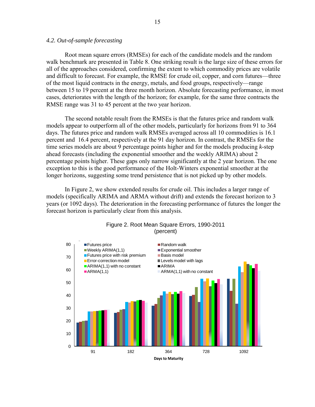### *4.2. Out-of-sample forecasting*

 Root mean square errors (RMSEs) for each of the candidate models and the random walk benchmark are presented in Table 8. One striking result is the large size of these errors for all of the approaches considered, confirming the extent to which commodity prices are volatile and difficult to forecast. For example, the RMSE for crude oil, copper, and corn futures—three of the most liquid contracts in the energy, metals, and food groups, respectively—range between 15 to 19 percent at the three month horizon. Absolute forecasting performance, in most cases, deteriorates with the length of the horizon; for example, for the same three contracts the RMSE range was 31 to 45 percent at the two year horizon.

 The second notable result from the RMSEs is that the futures price and random walk models appear to outperform all of the other models, particularly for horizons from 91 to 364 days. The futures price and random walk RMSEs averaged across all 10 commodities is 16.1 percent and 16.4 percent, respectively at the 91 day horizon. In contrast, the RMSEs for the time series models are about 9 percentage points higher and for the models producing *k*-step ahead forecasts (including the exponential smoother and the weekly ARIMA) about 2 percentage points higher. These gaps only narrow significantly at the 2 year horizon. The one exception to this is the good performance of the Holt-Winters exponential smoother at the longer horizons, suggesting some trend persistence that is not picked up by other models.

 In Figure 2, we show extended results for crude oil. This includes a larger range of models (specifically ARIMA and ARMA without drift) and extends the forecast horizon to 3 years (or 1092 days). The deterioration in the forecasting performance of futures the longer the forecast horizon is particularly clear from this analysis.



# Figure 2. Root Mean Square Errors, 1990-2011 (percent)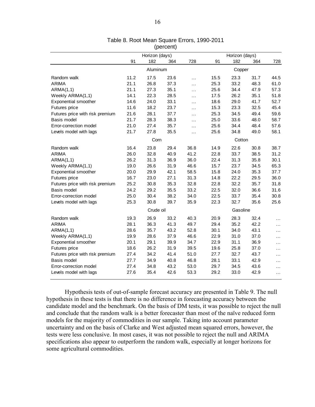|                                 |                |                | (percent) | Table 8. Root Mean Square Errors, 1990-2011 |        |                |      |           |  |
|---------------------------------|----------------|----------------|-----------|---------------------------------------------|--------|----------------|------|-----------|--|
|                                 |                | Horizon (days) |           |                                             |        | Horizon (days) |      |           |  |
|                                 | 91             | 182            | 364       | 728                                         | 91     | 182            | 364  | 728       |  |
|                                 |                | Aluminum       |           |                                             | Copper |                |      |           |  |
| Random walk                     | 11.2           | 17.5           | 23.6      | $\cdots$                                    | 15.5   | 23.3           | 31.7 | 44.5      |  |
| <b>ARIMA</b>                    | 21.1           | 26.8           | 37.3      | $\ldots$                                    | 25.3   | 33.2           | 48.3 | 61.0      |  |
| ARMA(1,1)                       | 21.1           | 27.3           | 35.1      | $\cdots$                                    | 25.6   | 34.4           | 47.9 | 57.3      |  |
| Weekly ARIMA(1,1)               | 14.1           | 22.3           | 28.5      | $\ldots$                                    | 17.5   | 26.2           | 35.1 | 51.8      |  |
| <b>Exponential smoother</b>     | 14.6           | 24.0           | 33.1      | $\sim$ $\sim$                               | 18.6   | 29.0           | 41.7 | 52.7      |  |
| Futures price                   | 11.6           | 18.2           | 23.7      | $\cdots$                                    | 15.3   | 23.3           | 32.5 | 45.4      |  |
| Futures price with risk premium | 21.6           | 28.1           | 37.7      | $\cdots$                                    | 25.3   | 34.5           | 49.4 | 59.6      |  |
| Basis model                     | 21.7           | 28.3           | 38.3      | $\ddotsc$                                   | 25.0   | 33.6           | 48.0 | 58.7      |  |
| Error-correction model          | 21.0           | 27.4           | 35.7      | $\ldots$                                    | 25.6   | 34.4           | 48.4 | 57.6      |  |
| Levels model with lags          | 21.7           | 27.8           | 35.5      | $\ddotsc$                                   | 25.6   | 34.8           | 49.0 | 58.1      |  |
|                                 | Corn<br>Cotton |                |           |                                             |        |                |      |           |  |
| Random walk                     | 16.4           | 23.8           | 29.4      | 36.8                                        | 14.9   | 22.6           | 30.8 | 38.7      |  |
| <b>ARIMA</b>                    | 26.0           | 32.8           | 40.9      | 41.2                                        | 22.8   | 33.7           | 38.5 | 31.2      |  |
| ARMA(1,1)                       | 26.2           | 31.3           | 36.9      | 36.0                                        | 22.4   | 31.3           | 35.8 | 30.1      |  |
| Weekly ARIMA(1,1)               | 19.0           | 26.6           | 31.9      | 46.6                                        | 15.7   | 23.7           | 34.5 | 65.3      |  |
| Exponential smoother            | 20.0           | 29.9           | 42.1      | 58.5                                        | 15.8   | 24.0           | 35.3 | 37.7      |  |
| Futures price                   | 16.7           | 23.0           | 27.1      | 31.3                                        | 14.8   | 22.2           | 29.5 | 36.0      |  |
| Futures price with risk premium | 25.2           | 30.8           | 35.3      | 32.8                                        | 22.8   | 32.2           | 35.7 | 31.8      |  |
| Basis model                     | 24.2           | 29.2           | 35.5      | 33.2                                        | 22.5   | 32.0           | 36.6 | 31.6      |  |
| Error-correction model          | 25.0           | 30.4           | 38.2      | 34.0                                        | 22.5   | 33.7           | 35.4 | 30.8      |  |
| Levels model with lags          | 25.3           | 30.8           | 39.7      | 35.9                                        | 22.3   | 32.7           | 35.6 | 25.6      |  |
|                                 |                | Crude oil      |           |                                             |        | Gasoline       |      |           |  |
| Random walk                     | 19.3           | 26.9           | 33.2      | 40.3                                        | 20.9   | 28.3           | 32.4 | $\ddotsc$ |  |
| ARIMA                           | 28.1           | 36.3           | 41.3      | 49.7                                        | 29.4   | 35.2           | 42.2 | $\cdots$  |  |
| ARMA(1,1)                       | 28.6           | 35.7           | 43.2      | 52.8                                        | 30.1   | 34.0           | 43.1 | $\cdots$  |  |
| Weekly ARIMA(1,1)               | 19.9           | 28.6           | 37.9      | 46.6                                        | 22.9   | 31.0           | 37.0 | $\cdots$  |  |
| <b>Exponential smoother</b>     | 20.1           | 29.1           | 39.9      | 34.7                                        | 22.9   | 31.1           | 36.9 | $\cdots$  |  |
| Futures price                   | 18.6           | 26.2           | 31.9      | 39.5                                        | 19.6   | 25.8           | 37.0 | $\cdots$  |  |
| Futures price with risk premium | 27.4           | 34.2           | 41.4      | 51.0                                        | 27.7   | 32.7           | 43.7 | $\cdots$  |  |
| Basis model                     | 27.7           | 34.9           | 40.8      | 46.8                                        | 28.1   | 33.1           | 42.9 | $\cdots$  |  |
| Error-correction model          | 27.4           | 34.8           | 43.2      | 53.0                                        | 29.7   | 34.5           | 43.6 | $\cdots$  |  |
| Levels model with lags          | 27.6           | 35.4           | 42.6      | 53.3                                        | 29.2   | 33.0           | 42.9 | $\cdots$  |  |

# (percent)

 Hypothesis tests of out-of-sample forecast accuracy are presented in Table 9. The null hypothesis in these tests is that there is no difference in forecasting accuracy between the candidate model and the benchmark. On the basis of DM tests, it was possible to reject the null and conclude that the random walk is a better forecaster than most of the naïve reduced form models for the majority of commodities in our sample. Taking into account parameter uncertainty and on the basis of Clarke and West adjusted mean squared errors, however, the tests were less conclusive. In most cases, it was not possible to reject the null and ARIMA specifications also appear to outperform the random walk, especially at longer horizons for some agricultural commodities.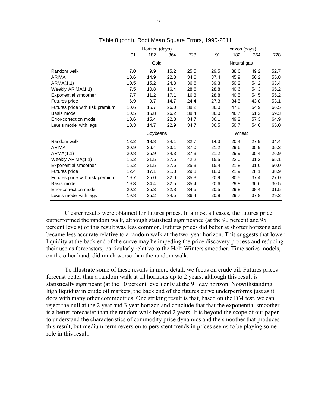|                                 |      |                |      |      | Table 8 (cont). Root Mean Square Errors, 1990-2011 |                |      |      |
|---------------------------------|------|----------------|------|------|----------------------------------------------------|----------------|------|------|
|                                 |      | Horizon (days) |      |      |                                                    | Horizon (days) |      |      |
|                                 | 91   | 182            | 364  | 728  | 91                                                 | 182            | 364  | 728  |
|                                 |      | Gold           |      |      |                                                    | Natural gas    |      |      |
| Random walk                     | 7.0  | 9.9            | 15.2 | 25.5 | 29.5                                               | 38.6           | 49.2 | 52.7 |
| ARIMA                           | 10.6 | 14.9           | 22.3 | 34.6 | 37.4                                               | 45.9           | 56.2 | 55.8 |
| ARMA(1,1)                       | 10.5 | 15.2           | 24.3 | 36.6 | 39.3                                               | 50.2           | 54.2 | 63.4 |
| Weekly ARIMA(1,1)               | 7.5  | 10.8           | 16.4 | 28.6 | 28.8                                               | 40.6           | 54.3 | 65.2 |
| Exponential smoother            | 7.7  | 11.2           | 17.1 | 16.8 | 28.8                                               | 40.5           | 54.5 | 55.2 |
| Futures price                   | 6.9  | 9.7            | 14.7 | 24.4 | 27.3                                               | 34.5           | 43.8 | 53.1 |
| Futures price with risk premium | 10.6 | 15.7           | 26.0 | 38.2 | 36.0                                               | 47.8           | 54.9 | 66.5 |
| Basis model                     | 10.5 | 15.8           | 26.2 | 38.4 | 36.0                                               | 46.7           | 51.2 | 59.3 |
| Error-correction model          | 10.6 | 15.4           | 22.8 | 34.7 | 36.1                                               | 49.2           | 57.3 | 64.9 |
| Levels model with lags          | 10.3 | 14.7           | 22.9 | 34.7 | 36.5                                               | 50.7           | 54.6 | 65.0 |
|                                 |      | Soybeans       |      |      | Wheat                                              |                |      |      |
| Random walk                     | 13.2 | 18.8           | 24.1 | 32.7 | 14.3                                               | 20.4           | 27.9 | 34.4 |
| <b>ARIMA</b>                    | 20.9 | 26.4           | 33.1 | 37.0 | 21.2                                               | 29.6           | 35.9 | 35.3 |
| ARMA(1,1)                       | 20.8 | 25.9           | 34.3 | 37.3 | 21.2                                               | 29.9           | 35.4 | 26.9 |
| Weekly ARIMA(1,1)               | 15.2 | 21.5           | 27.6 | 42.2 | 15.5                                               | 22.0           | 31.2 | 65.1 |
| <b>Exponential smoother</b>     | 15.2 | 21.5           | 27.6 | 25.3 | 15.4                                               | 21.8           | 31.0 | 50.0 |
| <b>Futures price</b>            | 12.4 | 17.1           | 21.3 | 29.8 | 18.0                                               | 21.9           | 28.1 | 38.9 |
| Futures price with risk premium | 19.7 | 25.0           | 32.0 | 35.3 | 20.9                                               | 30.5           | 37.4 | 27.0 |
| Basis model                     | 19.3 | 24.4           | 32.5 | 35.4 | 20.6                                               | 29.8           | 36.6 | 30.5 |
| Error-correction model          | 20.2 | 25.3           | 32.8 | 34.5 | 20.5                                               | 29.8           | 38.4 | 31.5 |
| Levels model with lags          | 19.8 | 25.2           | 34.5 | 36.4 | 20.8                                               | 29.7           | 37.8 | 29.2 |

Table 8 (cont). Root Mean Square Errors, 1990-2011

Clearer results were obtained for futures prices. In almost all cases, the futures price outperformed the random walk, although statistical significance (at the 90 percent and 95 percent levels) of this result was less common. Futures prices did better at shorter horizons and became less accurate relative to a random walk at the two-year horizon. This suggests that lower liquidity at the back end of the curve may be impeding the price discovery process and reducing their use as forecasters, particularly relative to the Holt-Winters smoother. Time series models, on the other hand, did much worse than the random walk.

To illustrate some of these results in more detail, we focus on crude oil. Futures prices forecast better than a random walk at all horizons up to 2 years, although this result is statistically significant (at the 10 percent level) only at the 91 day horizon. Notwithstanding high liquidity in crude oil markets, the back end of the futures curve underperforms just as it does with many other commodities. One striking result is that, based on the DM test, we can reject the null at the 2 year and 3 year horizon and conclude that that the exponential smoother is a better forecaster than the random walk beyond 2 years. It is beyond the scope of our paper to understand the characteristics of commodity price dynamics and the smoother that produces this result, but medium-term reversion to persistent trends in prices seems to be playing some role in this result.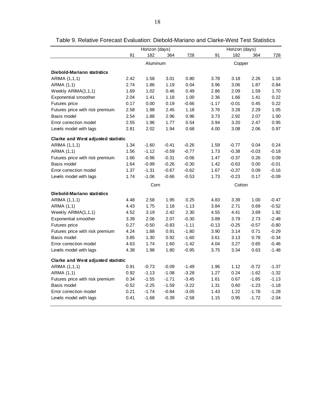|                                           |         | Horizon (days) |         |         |         | Horizon (days) |         |         |
|-------------------------------------------|---------|----------------|---------|---------|---------|----------------|---------|---------|
|                                           | 91      | 182            | 364     | 728     | 91      | 182            | 364     | 728     |
|                                           |         | Aluminum       |         |         |         | Copper         |         |         |
| <b>Diebold-Mariano statistics</b>         |         |                |         |         |         |                |         |         |
| ARIMA (1,1,1)                             | 2.42    | 1.58           | 3.01    | 0.80    | 3.78    | 3.18           | 2.26    | 1.16    |
| ARMA (1,1)                                | 2.74    | 1.86           | 1.19    | 0.04    | 3.96    | 3.06           | 1.87    | 0.84    |
| Weekly ARIMA(1,1,1)                       | 1.69    | 1.02           | 0.46    | 0.49    | 2.86    | 2.09           | 1.59    | 1.70    |
| <b>Exponential smoother</b>               | 2.04    | 1.41           | 1.18    | 1.00    | 2.36    | 1.66           | 1.41    | 0.22    |
| Futures price                             | 0.17    | 0.00           | 0.19    | $-0.66$ | $-1.17$ | $-0.01$        | 0.45    | 0.22    |
| Futures price with risk premium           | 2.58    | 1.98           | 2.45    | 1.18    | 3.76    | 3.28           | 2.29    | 1.05    |
| Basis model                               | 2.54    | 1.88           | 2.96    | 0.96    | 3.73    | 2.92           | 2.07    | 1.00    |
| Error correction model                    | 2.55    | 1.96           | 1.77    | 0.54    | 3.94    | 3.20           | 2.47    | 0.95    |
| Levels model with lags                    | 2.81    | 2.02           | 1.94    | 0.68    | 4.00    | 3.08           | 2.06    | 0.97    |
| <b>Clarke and West adjusted statistic</b> |         |                |         |         |         |                |         |         |
| ARIMA (1,1,1)                             | 1.34    | $-1.60$        | $-0.41$ | $-0.26$ | 1.59    | $-0.77$        | 0.04    | 0.24    |
| ARMA (1,1)                                | 1.56    | $-1.12$        | $-0.59$ | $-0.77$ | 1.73    | $-0.38$        | $-0.03$ | $-0.18$ |
| Futures price with risk premium           | 1.66    | $-0.96$        | $-0.31$ | $-0.06$ | 1.47    | $-0.37$        | 0.26    | 0.09    |
| Basis model                               | 1.64    | $-0.99$        | $-0.26$ | $-0.30$ | 1.42    | $-0.63$        | 0.00    | $-0.01$ |
| Error correction model                    | 1.37    | $-1.31$        | $-0.67$ | $-0.62$ | 1.67    | $-0.37$        | 0.09    | $-0.16$ |
| Levels model with lags                    | 1.74    | $-1.06$        | $-0.66$ | $-0.53$ | 1.73    | $-0.23$        | 0.17    | $-0.09$ |
|                                           |         | Corn           |         |         |         | Cotton         |         |         |
| <b>Diebold-Mariano statistics</b>         |         |                |         |         |         |                |         |         |
| ARIMA (1,1,1)                             | 4.48    | 2.58           | 1.95    | 0.25    | 4.83    | 3.39           | 1.00    | $-0.47$ |
| ARMA (1,1)                                | 4.43    | 1.75           | 1.18    | $-1.13$ | 3.84    | 2.71           | 0.69    | $-0.52$ |
| Weekly ARIMA(1,1,1)                       | 4.52    | 3.19           | 2.42    | 2.30    | 4.55    | 4.41           | 3.69    | 1.92    |
| Exponential smoother                      | 3.39    | 2.06           | 2.07    | $-0.30$ | 3.89    | 3.79           | 2.73    | $-2.48$ |
| Futures price                             | 0.27    | $-0.50$        | $-0.83$ | $-1.11$ | $-0.13$ | $-0.25$        | $-0.57$ | $-0.80$ |
| Futures price with risk premium           | 4.24    | 1.88           | 0.91    | $-1.80$ | 3.90    | 3.14           | 0.71    | $-0.29$ |
| Basis model                               | 3.85    | 1.30           | 0.92    | $-1.60$ | 3.61    | 3.13           | 0.78    | $-0.34$ |
| Error correction model                    | 4.63    | 1.74           | 1.60    | $-1.42$ | 4.04    | 3.27           | 0.65    | $-0.46$ |
| Levels model with lags                    | 4.38    | 1.98           | 1.80    | $-0.95$ | 3.75    | 3.34           | 0.63    | $-1.48$ |
| <b>Clarke and West adjusted statistic</b> |         |                |         |         |         |                |         |         |
| ARIMA (1,1,1)                             | 0.91    | $-0.73$        | $-0.09$ | $-1.49$ | 1.96    | 1.12           | $-0.72$ | $-1.37$ |
| ARMA (1,1)                                | 0.92    | $-1.13$        | $-1.08$ | $-3.28$ | 1.27    | 0.24           | $-1.62$ | $-1.32$ |
| Futures price with risk premium           | 0.34    | $-1.55$        | $-1.71$ | $-3.45$ | 1.61    | 0.67           | $-1.65$ | $-1.13$ |
| Basis model                               | $-0.52$ | $-2.25$        | $-1.59$ | $-3.22$ | 1.31    | 0.60           | $-1.23$ | $-1.18$ |
| Error correction model                    | 0.21    | $-1.74$        | $-0.84$ | $-3.05$ | 1.43    | 1.22           | $-1.78$ | $-1.28$ |
|                                           |         | $-1.68$        |         |         |         | 0.95           | $-1.72$ | $-2.04$ |

Table 9. Relative Forecast Evaluation: Diebold-Mariano and Clarke-West Test Statistics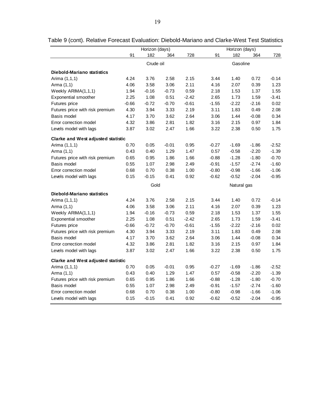|                                           |         | Horizon (days) |         |         |         | Horizon (days) |         |         |
|-------------------------------------------|---------|----------------|---------|---------|---------|----------------|---------|---------|
|                                           | 91      | 182            | 364     | 728     | 91      | 182            | 364     | 728     |
|                                           |         | Crude oil      |         |         |         | Gasoline       |         |         |
| <b>Diebold-Mariano statistics</b>         |         |                |         |         |         |                |         |         |
| Arima (1,1,1)                             | 4.24    | 3.76           | 2.58    | 2.15    | 3.44    | 1.40           | 0.72    | $-0.14$ |
| Arma (1,1)                                | 4.06    | 3.58           | 3.06    | 2.11    | 4.16    | 2.07           | 0.39    | 1.23    |
| Weekly ARIMA(1,1,1)                       | 1.94    | $-0.16$        | $-0.73$ | 0.59    | 2.18    | 1.53           | 1.37    | 1.55    |
| Exponential smoother                      | 2.25    | 1.08           | 0.51    | $-2.42$ | 2.65    | 1.73           | 1.59    | $-3.41$ |
| Futures price                             | $-0.66$ | $-0.72$        | $-0.70$ | $-0.61$ | $-1.55$ | $-2.22$        | $-2.16$ | 0.02    |
| Futures price with risk premium           | 4.30    | 3.94           | 3.33    | 2.19    | 3.11    | 1.83           | 0.49    | 2.08    |
| Basis model                               | 4.17    | 3.70           | 3.62    | 2.64    | 3.06    | 1.44           | $-0.08$ | 0.34    |
| Error correction model                    | 4.32    | 3.86           | 2.81    | 1.82    | 3.16    | 2.15           | 0.97    | 1.84    |
| Levels model with lags                    | 3.87    | 3.02           | 2.47    | 1.66    | 3.22    | 2.38           | 0.50    | 1.75    |
| Clarke and West adjusted statistic        |         |                |         |         |         |                |         |         |
| Arima (1,1,1)                             | 0.70    | 0.05           | $-0.01$ | 0.95    | $-0.27$ | $-1.69$        | $-1.86$ | $-2.52$ |
| Arma (1,1)                                | 0.43    | 0.40           | 1.29    | 1.47    | 0.57    | $-0.58$        | $-2.20$ | $-1.39$ |
| Futures price with risk premium           | 0.65    | 0.95           | 1.86    | 1.66    | $-0.88$ | $-1.28$        | $-1.80$ | $-0.70$ |
| Basis model                               | 0.55    | 1.07           | 2.98    | 2.49    | $-0.91$ | $-1.57$        | $-2.74$ | $-1.60$ |
| Error correction model                    | 0.68    | 0.70           | 0.38    | 1.00    | $-0.80$ | $-0.98$        | $-1.66$ | $-1.06$ |
| Levels model with lags                    | 0.15    | $-0.15$        | 0.41    | 0.92    | $-0.62$ | $-0.52$        | $-2.04$ | $-0.95$ |
|                                           |         | Gold           |         |         |         | Natural gas    |         |         |
| <b>Diebold-Mariano statistics</b>         |         |                |         |         |         |                |         |         |
| Arima (1,1,1)                             | 4.24    | 3.76           | 2.58    | 2.15    | 3.44    | 1.40           | 0.72    | $-0.14$ |
| Arma (1,1)                                | 4.06    | 3.58           | 3.06    | 2.11    | 4.16    | 2.07           | 0.39    | 1.23    |
| Weekly ARIMA(1,1,1)                       | 1.94    | $-0.16$        | $-0.73$ | 0.59    | 2.18    | 1.53           | 1.37    | 1.55    |
| Exponential smoother                      | 2.25    | 1.08           | 0.51    | $-2.42$ | 2.65    | 1.73           | 1.59    | $-3.41$ |
| Futures price                             | $-0.66$ | $-0.72$        | $-0.70$ | $-0.61$ | $-1.55$ | $-2.22$        | $-2.16$ | 0.02    |
| Futures price with risk premium           | 4.30    | 3.94           | 3.33    | 2.19    | 3.11    | 1.83           | 0.49    | 2.08    |
| Basis model                               | 4.17    | 3.70           | 3.62    | 2.64    | 3.06    | 1.44           | $-0.08$ | 0.34    |
| Error correction model                    | 4.32    | 3.86           | 2.81    | 1.82    | 3.16    | 2.15           | 0.97    | 1.84    |
| Levels model with lags                    | 3.87    | 3.02           | 2.47    | 1.66    | 3.22    | 2.38           | 0.50    | 1.75    |
| <b>Clarke and West adjusted statistic</b> |         |                |         |         |         |                |         |         |
| Arima (1,1,1)                             | 0.70    | 0.05           | $-0.01$ | 0.95    | $-0.27$ | $-1.69$        | $-1.86$ | $-2.52$ |
| Arma (1,1)                                | 0.43    | 0.40           | 1.29    | 1.47    | 0.57    | $-0.58$        | $-2.20$ | $-1.39$ |
| Futures price with risk premium           | 0.65    | 0.95           | 1.86    | 1.66    | $-0.88$ | $-1.28$        | $-1.80$ | $-0.70$ |
| Basis model                               | 0.55    | 1.07           | 2.98    | 2.49    | $-0.91$ | $-1.57$        | $-2.74$ | $-1.60$ |
| Error correction model                    | 0.68    | 0.70           | 0.38    | 1.00    | $-0.80$ | $-0.98$        | $-1.66$ | $-1.06$ |
| Levels model with lags                    | 0.15    | $-0.15$        | 0.41    | 0.92    | $-0.62$ | $-0.52$        | $-2.04$ | $-0.95$ |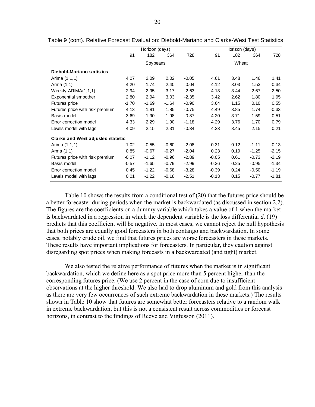|                                    |         | Horizon (days) |         |         | Horizon (days) |      |         |         |  |
|------------------------------------|---------|----------------|---------|---------|----------------|------|---------|---------|--|
|                                    | 91      | 182            | 364     | 728     | 91             | 182  | 364     | 728     |  |
|                                    |         | Soybeans       |         |         | Wheat          |      |         |         |  |
| Diebold-Mariano statistics         |         |                |         |         |                |      |         |         |  |
| Arima (1,1,1)                      | 4.07    | 2.09           | 2.02    | $-0.05$ | 4.61           | 3.48 | 1.46    | 1.41    |  |
| Arma (1,1)                         | 4.20    | 1.74           | 2.40    | 0.04    | 4.12           | 3.03 | 1.53    | $-0.34$ |  |
| Weekly ARIMA(1,1,1)                | 2.94    | 2.95           | 3.17    | 2.63    | 4.13           | 3.44 | 2.67    | 2.50    |  |
| Exponential smoother               | 2.80    | 2.94           | 3.03    | $-2.35$ | 3.42           | 2.62 | 1.80    | 1.95    |  |
| Futures price                      | $-1.70$ | $-1.69$        | $-1.64$ | $-0.90$ | 3.64           | 1.15 | 0.10    | 0.55    |  |
| Futures price with risk premium    | 4.13    | 1.81           | 1.85    | $-0.75$ | 4.49           | 3.85 | 1.74    | $-0.33$ |  |
| Basis model                        | 3.69    | 1.90           | 1.98    | $-0.87$ | 4.20           | 3.71 | 1.59    | 0.51    |  |
| Error correction model             | 4.33    | 2.29           | 1.90    | $-1.18$ | 4.29           | 3.76 | 1.70    | 0.79    |  |
| Levels model with lags             | 4.09    | 2.15           | 2.31    | $-0.34$ | 4.23           | 3.45 | 2.15    | 0.21    |  |
| Clarke and West adjusted statistic |         |                |         |         |                |      |         |         |  |
| Arima (1,1,1)                      | 1.02    | $-0.55$        | $-0.60$ | $-2.08$ | 0.31           | 0.12 | $-1.11$ | $-0.13$ |  |
| Arma (1,1)                         | 0.85    | $-0.67$        | $-0.27$ | $-2.04$ | 0.23           | 0.19 | $-1.25$ | $-2.15$ |  |
| Futures price with risk premium    | $-0.07$ | $-1.12$        | $-0.96$ | $-2.89$ | $-0.05$        | 0.61 | $-0.73$ | $-2.19$ |  |
| Basis model                        | $-0.57$ | $-1.65$        | $-0.79$ | $-2.99$ | $-0.36$        | 0.25 | $-0.95$ | $-1.34$ |  |
| Error correction model             | 0.45    | $-1.22$        | $-0.68$ | $-3.28$ | $-0.39$        | 0.24 | $-0.50$ | $-1.19$ |  |
| Levels model with lags             | 0.01    | $-1.22$        | $-0.18$ | $-2.51$ | $-0.13$        | 0.15 | $-0.77$ | $-1.81$ |  |

Table 10 shows the results from a conditional test of (20) that the futures price should be a better forecaster during periods when the market is backwardated (as discussed in section 2.2). The figures are the coefficients on a dummy variable which takes a value of 1 when the market is backwardated in a regression in which the dependent variable is the loss differential *d*. (19) predicts that this coefficient will be negative. In most cases, we cannot reject the null hypothesis that both prices are equally good forecasters in both contango and backwardation. In some cases, notably crude oil, we find that futures prices are worse forecasters in these markets. These results have important implications for forecasters. In particular, they caution against disregarding spot prices when making forecasts in a backwardated (and tight) market.

We also tested the relative performance of futures when the market is in significant backwardation, which we define here as a spot price more than 5 percent higher than the corresponding futures price. (We use 2 percent in the case of corn due to insufficient observations at the higher threshold. We also had to drop aluminum and gold from this analysis as there are very few occurrences of such extreme backwardation in these markets.) The results shown in Table 10 show that futures are somewhat better forecasters relative to a random walk in extreme backwardation, but this is not a consistent result across commodities or forecast horizons, in contrast to the findings of Reeve and Vigfusson (2011).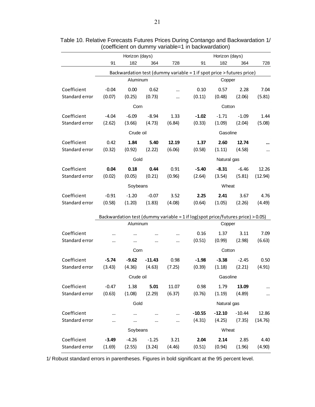|                |          |                |          |        | (coefficient on dummy variable=1 in backwardation)                                |                |          |         |
|----------------|----------|----------------|----------|--------|-----------------------------------------------------------------------------------|----------------|----------|---------|
|                |          | Horizon (days) |          |        |                                                                                   | Horizon (days) |          |         |
|                | 91       | 182            | 364      | 728    | 91                                                                                | 182            | 364      | 728     |
|                |          |                |          |        | Backwardation test (dummy variable = 1 if spot price > futures price)             |                |          |         |
|                |          | Aluminum       |          |        |                                                                                   | Copper         |          |         |
| Coefficient    | $-0.04$  | 0.00           | 0.62     |        | 0.10                                                                              | 0.57           | 2.28     | 7.04    |
| Standard error | (0.07)   | (0.25)         | (0.73)   |        | (0.11)                                                                            | (0.48)         | (2.06)   | (5.81)  |
|                |          | Corn           |          |        |                                                                                   | Cotton         |          |         |
| Coefficient    | $-4.04$  | $-6.09$        | $-8.94$  | 1.33   | $-1.02$                                                                           | $-1.71$        | $-1.09$  | 1.44    |
| Standard error | (2.62)   | (3.66)         | (4.73)   | (6.84) | (0.33)                                                                            | (1.09)         | (2.04)   | (5.08)  |
|                |          | Crude oil      |          |        |                                                                                   | Gasoline       |          |         |
| Coefficient    | 0.42     | 1.84           | 5.40     | 12.19  | 1.37                                                                              | 2.60           | 12.74    |         |
| Standard error | (0.32)   | (0.92)         | (2.22)   | (6.06) | (0.58)                                                                            | (1.11)         | (4.58)   |         |
|                |          | Gold           |          |        |                                                                                   | Natural gas    |          |         |
| Coefficient    | 0.04     | 0.18           | 0.44     | 0.91   | $-5.40$                                                                           | $-8.31$        | $-6.46$  | 12.26   |
| Standard error | (0.02)   | (0.05)         | (0.21)   | (0.96) | (2.64)                                                                            | (3.54)         | (5.81)   | (12.94) |
|                |          | Soybeans       |          |        |                                                                                   | Wheat          |          |         |
| Coefficient    | $-0.91$  | $-1.20$        | $-0.07$  | 3.52   | 2.25                                                                              | 2.41           | 3.67     | 4.76    |
| Standard error | (0.58)   | (1.20)         | (1.83)   | (4.08) | (0.64)                                                                            | (1.05)         | (2.26)   | (4.49)  |
|                |          |                |          |        | Backwardation test (dummy variable = $1$ if log(spot price/futures price) > 0.05) |                |          |         |
|                |          | Aluminum       |          |        |                                                                                   | Copper         |          |         |
| Coefficient    | $\cdots$ |                |          |        | 0.16                                                                              | 1.37           | 3.11     | 7.09    |
| Standard error | $\cdots$ |                |          |        | (0.51)                                                                            | (0.99)         | (2.98)   | (6.63)  |
|                |          | Corn           |          |        |                                                                                   | Cotton         |          |         |
| Coefficient    | $-5.74$  | $-9.62$        | $-11.43$ | 0.98   | $-1.98$                                                                           | $-3.38$        | $-2.45$  | 0.50    |
| Standard error | (3.43)   | (4.36)         | (4.63)   | (7.25) | (0.39)                                                                            | (1.18)         | (2.21)   | (4.91)  |
|                |          | Crude oil      |          |        |                                                                                   | Gasoline       |          |         |
| Coefficient    | $-0.47$  | 1.38           | 5.01     | 11.07  | 0.98                                                                              | 1.79           | 13.09    |         |
| Standard error | (0.63)   | (1.08)         | (2.29)   | (6.37) | (0.76)                                                                            | (1.19)         | (4.89)   |         |
|                |          | Gold           |          |        |                                                                                   | Natural gas    |          |         |
| Coefficient    |          |                |          |        | $-10.55$                                                                          | $-12.10$       | $-10.44$ | 12.86   |
| Standard error |          |                |          |        | (4.31)                                                                            | (4.25)         | (7.35)   | (14.76) |
|                |          | Soybeans       |          |        |                                                                                   | Wheat          |          |         |
| Coefficient    | $-3.49$  | $-4.26$        | $-1.25$  | 3.21   | 2.04                                                                              | 2.14           | 2.85     | 4.40    |
| Standard error | (1.69)   | (2.55)         | (3.24)   | (4.46) | (0.51)                                                                            | (0.94)         | (1.96)   | (4.90)  |
|                |          |                |          |        |                                                                                   |                |          |         |

Table 10. Relative Forecasts Futures Prices During Contango and Backwardation 1/

1/ Robust standard errors in parentheses. Figures in bold significant at the 95 percent level.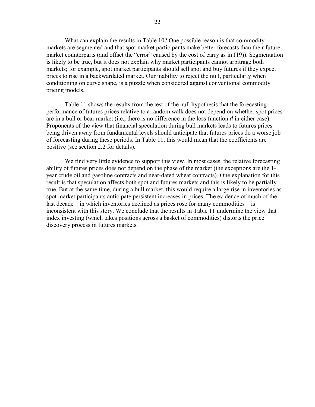What can explain the results in Table 10? One possible reason is that commodity markets are segmented and that spot market participants make better forecasts than their future market counterparts (and offset the "error" caused by the cost of carry as in (19)). Segmentation is likely to be true, but it does not explain why market participants cannot arbitrage both markets; for example, spot market participants should sell spot and buy futures if they expect prices to rise in a backwardated market. Our inability to reject the null, particularly when conditioning on curve shape, is a puzzle when considered against conventional commodity pricing models.

 Table 11 shows the results from the test of the null hypothesis that the forecasting performance of futures prices relative to a random walk does not depend on whether spot prices are in a bull or bear market (i.e., there is no difference in the loss function *d* in either case). Proponents of the view that financial speculation during bull markets leads to futures prices being driven away from fundamental levels should anticipate that futures prices do a worse job of forecasting during these periods. In Table 11, this would mean that the coefficients are positive (see section 2.2 for details).

We find very little evidence to support this view. In most cases, the relative forecasting ability of futures prices does not depend on the phase of the market (the exceptions are the 1 year crude oil and gasoline contracts and near-dated wheat contracts). One explanation for this result is that speculation affects both spot and futures markets and this is likely to be partially true. But at the same time, during a bull market, this would require a large rise in inventories as spot market participants anticipate persistent increases in prices. The evidence of much of the last decade—in which inventories declined as prices rose for many commodities—is inconsistent with this story. We conclude that the results in Table 11 undermine the view that index investing (which takes positions across a basket of commodities) distorts the price discovery process in futures markets.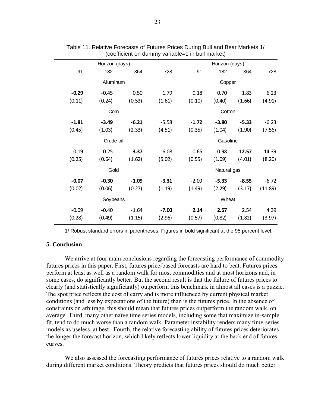| (coefficient on dummy variable=1 in bull market) |                |                       |         |         |                |         |         |  |
|--------------------------------------------------|----------------|-----------------------|---------|---------|----------------|---------|---------|--|
|                                                  | Horizon (days) |                       |         |         | Horizon (days) |         |         |  |
| 91                                               | 182            | 364                   | 728     | 91      | 182            | 364     | 728     |  |
|                                                  | Aluminum       |                       |         |         | Copper         |         |         |  |
| $-0.29$                                          | $-0.45$        | 0.50                  | 1.79    | 0.18    | 0.70           | 1.83    | 6.23    |  |
| (0.11)                                           | (0.24)         | (0.53)                | (1.61)  | (0.10)  | (0.40)         | (1.66)  | (4.91)  |  |
|                                                  | Corn           |                       |         |         | Cotton         |         |         |  |
| $-1.81$                                          | $-3.49$        | $-6.21$               | $-5.58$ | $-1.72$ | $-3.80$        | $-5.33$ | $-6.23$ |  |
| (0.45)                                           | (1.03)         | (2.33)                | (4.51)  | (0.35)  | (1.04)         | (1.90)  | (7.56)  |  |
|                                                  |                | Crude oil<br>Gasoline |         |         |                |         |         |  |
| $-0.19$                                          | 0.25           | 3.37                  | 6.08    | 0.65    | 0.98           | 12.57   | 14.39   |  |
| (0.25)                                           | (0.64)         | (1.62)                | (5.02)  | (0.55)  | (1.09)         | (4.01)  | (8.20)  |  |
|                                                  | Gold           | Natural gas           |         |         |                |         |         |  |
| $-0.07$                                          | $-0.30$        | $-1.09$               | $-3.31$ | $-2.09$ | $-5.33$        | $-8.55$ | $-6.72$ |  |
| (0.02)                                           | (0.06)         | (0.27)                | (1.19)  | (1.49)  | (2.29)         | (3.17)  | (11.89) |  |
| Soybeans                                         |                |                       |         | Wheat   |                |         |         |  |
| $-0.09$                                          | $-0.40$        | $-1.64$               | $-7.00$ | 2.14    | 2.57           | 2.54    | 4.39    |  |
| (0.28)                                           | (0.49)         | (1.15)                | (2.96)  | (0.57)  | (0.82)         | (1.82)  | (3.97)  |  |
|                                                  |                |                       |         |         |                |         |         |  |

| Table 11. Relative Forecasts of Futures Prices During Bull and Bear Markets 1/ |  |  |
|--------------------------------------------------------------------------------|--|--|
| (coefficient on dummy variable=1 in bull market)                               |  |  |

1/ Robust standard errors in parentheses. Figures in bold significant at the 95 percent level.

#### **5. Conclusion**

 We arrive at four main conclusions regarding the forecasting performance of commodity futures prices in this paper. First, futures price-based forecasts are hard to beat. Futures prices perform at least as well as a random walk for most commodities and at most horizons and, in some cases, do significantly better. But the second result is that the failure of futures prices to clearly (and statistically significantly) outperform this benchmark in almost all cases is a puzzle. The spot price reflects the cost of carry and is more influenced by current physical market conditions (and less by expectations of the future) than is the futures price. In the absence of constraints on arbitrage, this should mean that futures prices outperform the random walk, on average. Third, many other naïve time series models, including some that maximize in-sample fit, tend to do much worse than a random walk. Parameter instability renders many time-series models as useless, at best. Fourth, the relative forecasting ability of futures prices deteriorates the longer the forecast horizon, which likely reflects lower liquidity at the back end of futures curves.

 We also assessed the forecasting performance of futures prices relative to a random walk during different market conditions. Theory predicts that futures prices should do much better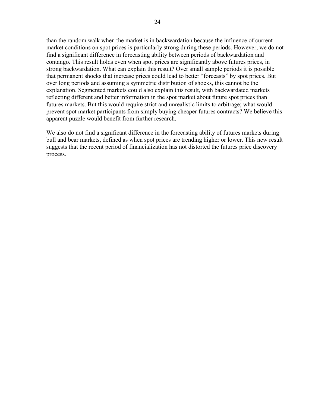than the random walk when the market is in backwardation because the influence of current market conditions on spot prices is particularly strong during these periods. However, we do not find a significant difference in forecasting ability between periods of backwardation and contango. This result holds even when spot prices are significantly above futures prices, in strong backwardation. What can explain this result? Over small sample periods it is possible that permanent shocks that increase prices could lead to better "forecasts" by spot prices. But over long periods and assuming a symmetric distribution of shocks, this cannot be the explanation. Segmented markets could also explain this result, with backwardated markets reflecting different and better information in the spot market about future spot prices than futures markets. But this would require strict and unrealistic limits to arbitrage; what would prevent spot market participants from simply buying cheaper futures contracts? We believe this apparent puzzle would benefit from further research.

We also do not find a significant difference in the forecasting ability of futures markets during bull and bear markets, defined as when spot prices are trending higher or lower. This new result suggests that the recent period of financialization has not distorted the futures price discovery process.